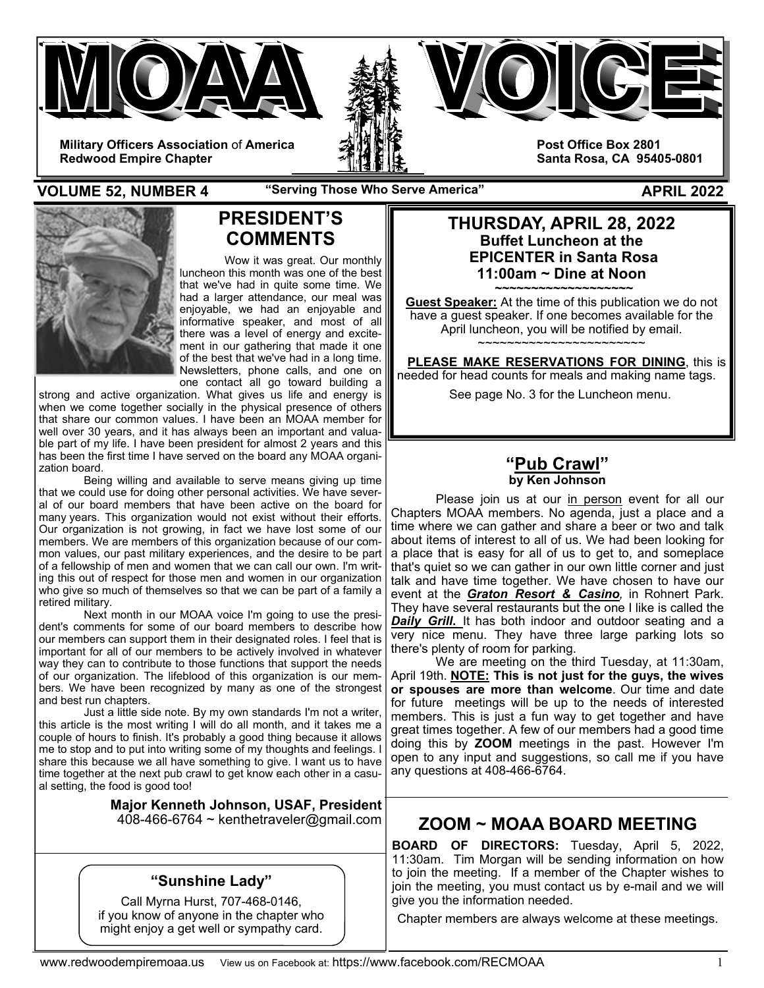

**VOLUME 52, NUMBER 4** The Serving Those Who Serve America" The Serve Appendix Contains APRIL 2022



# **PRESIDENT'S COMMENTS**

Wow it was great. Our monthly luncheon this month was one of the best that we've had in quite some time. We had a larger attendance, our meal was enjoyable, we had an enjoyable and informative speaker, and most of all there was a level of energy and excitement in our gathering that made it one of the best that we've had in a long time. Newsletters, phone calls, and one on one contact all go toward building a

strong and active organization. What gives us life and energy is when we come together socially in the physical presence of others that share our common values. I have been an MOAA member for well over 30 years, and it has always been an important and valuable part of my life. I have been president for almost 2 years and this has been the first time I have served on the board any MOAA organization board.

 Being willing and available to serve means giving up time that we could use for doing other personal activities. We have several of our board members that have been active on the board for many years. This organization would not exist without their efforts. Our organization is not growing, in fact we have lost some of our members. We are members of this organization because of our common values, our past military experiences, and the desire to be part of a fellowship of men and women that we can call our own. I'm writing this out of respect for those men and women in our organization who give so much of themselves so that we can be part of a family a retired military.

 Next month in our MOAA voice I'm going to use the president's comments for some of our board members to describe how our members can support them in their designated roles. I feel that is important for all of our members to be actively involved in whatever way they can to contribute to those functions that support the needs of our organization. The lifeblood of this organization is our members. We have been recognized by many as one of the strongest and best run chapters.

 Just a little side note. By my own standards I'm not a writer, this article is the most writing I will do all month, and it takes me a couple of hours to finish. It's probably a good thing because it allows me to stop and to put into writing some of my thoughts and feelings. I share this because we all have something to give. I want us to have time together at the next pub crawl to get know each other in a casual setting, the food is good too!

> **Major Kenneth Johnson, USAF, President**  408-466-6764 ~ kenthetraveler@gmail.com

## **"Sunshine Lady"**

Call Myrna Hurst, 707-468-0146, if you know of anyone in the chapter who might enjoy a get well or sympathy card.

### **THURSDAY, APRIL 28, 2022 Buffet Luncheon at the EPICENTER in Santa Rosa 11:00am ~ Dine at Noon**

**~~~~~~~~~~~~~~~~~~~ Guest Speaker:** At the time of this publication we do not have a guest speaker. If one becomes available for the April luncheon, you will be notified by email. ~~~~~~~~~~~~~~~~~~~~~~

 **PLEASE MAKE RESERVATIONS FOR DINING**, this is needed for head counts for meals and making name tags. See page No. 3 for the Luncheon menu.

### **"Pub Crawl" by Ken Johnson**

Please join us at our in person event for all our Chapters MOAA members. No agenda, just a place and a time where we can gather and share a beer or two and talk about items of interest to all of us. We had been looking for a place that is easy for all of us to get to, and someplace that's quiet so we can gather in our own little corner and just talk and have time together. We have chosen to have our event at the *Graton Resort & Casino,* in Rohnert Park. They have several restaurants but the one I like is called the *Daily Grill***.** It has both indoor and outdoor seating and a very nice menu. They have three large parking lots so there's plenty of room for parking.

 We are meeting on the third Tuesday, at 11:30am, April 19th. **NOTE: This is not just for the guys, the wives or spouses are more than welcome**. Our time and date for future meetings will be up to the needs of interested members. This is just a fun way to get together and have great times together. A few of our members had a good time doing this by **ZOOM** meetings in the past. However I'm open to any input and suggestions, so call me if you have any questions at 408-466-6764.

# **ZOOM ~ MOAA BOARD MEETING**

**BOARD OF DIRECTORS:** Tuesday, April 5, 2022, 11:30am. Tim Morgan will be sending information on how to join the meeting. If a member of the Chapter wishes to join the meeting, you must contact us by e-mail and we will give you the information needed.

Chapter members are always welcome at these meetings.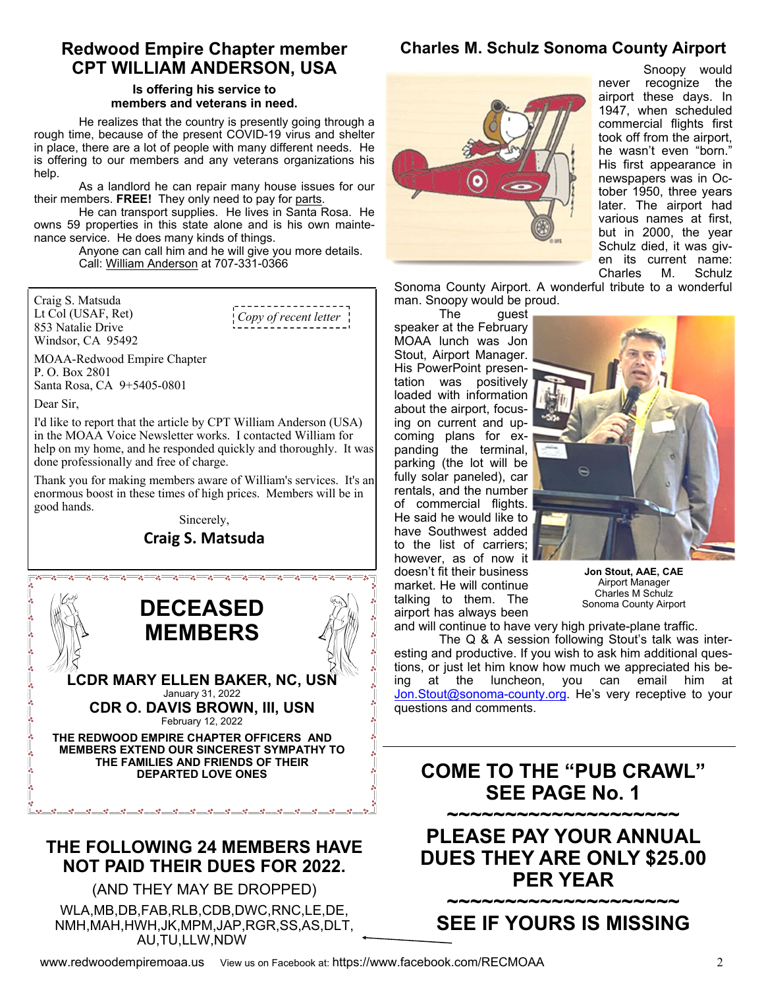## **Redwood Empire Chapter member CPT WILLIAM ANDERSON, USA**

#### **Is offering his service to members and veterans in need.**

He realizes that the country is presently going through a rough time, because of the present COVID-19 virus and shelter in place, there are a lot of people with many different needs. He is offering to our members and any veterans organizations his help.

 As a landlord he can repair many house issues for our their members. **FREE!** They only need to pay for parts.

 He can transport supplies. He lives in Santa Rosa. He owns 59 properties in this state alone and is his own maintenance service. He does many kinds of things.

 Anyone can call him and he will give you more details. Call: William Anderson at 707-331-0366

Craig S. Matsuda Lt Col (USAF, Ret) 853 Natalie Drive Windsor, CA 95492

*Copy of recent letter* 

MOAA-Redwood Empire Chapter P. O. Box 2801 Santa Rosa, CA 9+5405-0801

Dear Sir,

I'd like to report that the article by CPT William Anderson (USA) in the MOAA Voice Newsletter works. I contacted William for help on my home, and he responded quickly and thoroughly. It was done professionally and free of charge.

Thank you for making members aware of William's services. It's an enormous boost in these times of high prices. Members will be in good hands.

#### Sincerely,

## **Craig S. Matsuda**



## **THE FOLLOWING 24 MEMBERS HAVE NOT PAID THEIR DUES FOR 2022.**

(AND THEY MAY BE DROPPED) WLA,MB,DB,FAB,RLB,CDB,DWC,RNC,LE,DE, NMH,MAH,HWH,JK,MPM,JAP,RGR,SS,AS,DLT, AU,TU,LLW,NDW



# **Charles M. Schulz Sonoma County Airport**

Snoopy would never recognize the airport these days. In 1947, when scheduled commercial flights first took off from the airport, he wasn't even "born." His first appearance in newspapers was in October 1950, three years later. The airport had various names at first, but in 2000, the year Schulz died, it was given its current name: Charles M. Schulz

Sonoma County Airport. A wonderful tribute to a wonderful man. Snoopy would be proud.

 The guest speaker at the February MOAA lunch was Jon Stout, Airport Manager. His PowerPoint presentation was positively loaded with information about the airport, focusing on current and upcoming plans for expanding the terminal, parking (the lot will be fully solar paneled), car rentals, and the number of commercial flights. He said he would like to have Southwest added to the list of carriers; however, as of now it doesn't fit their business market. He will continue talking to them. The airport has always been



**Jon Stout, AAE, CAE**  Airport Manager **Charles M Schulz<br>Sonoma County Airport** 

and will continue to have very high private-plane traffic.

 The Q & A session following Stout's talk was interesting and productive. If you wish to ask him additional questions, or just let him know how much we appreciated his being at the luncheon, you can email him at Jon.Stout@sonoma-county.org. He's very receptive to your questions and comments.

# **COME TO THE "PUB CRAWL" SEE PAGE No. 1**

**~~~~~~~~~~~~~~~~~~~~ PLEASE PAY YOUR ANNUAL DUES THEY ARE ONLY \$25.00 PER YEAR** 

# **~~~~~~~~~~~~~~~~~~~~ SEE IF YOURS IS MISSING**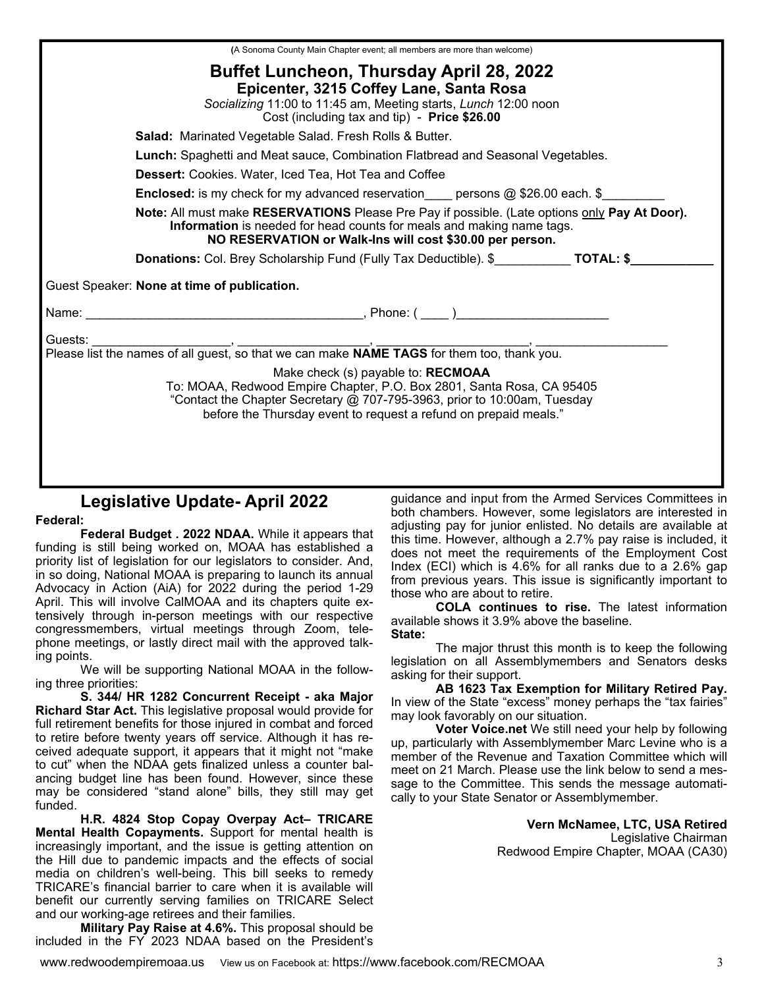| (A Sonoma County Main Chapter event; all members are more than welcome)                                                                                                                                                                                                |  |  |  |  |  |
|------------------------------------------------------------------------------------------------------------------------------------------------------------------------------------------------------------------------------------------------------------------------|--|--|--|--|--|
| <b>Buffet Luncheon, Thursday April 28, 2022</b><br>Epicenter, 3215 Coffey Lane, Santa Rosa<br>Socializing 11:00 to 11:45 am, Meeting starts, Lunch 12:00 noon<br>Cost (including tax and tip) - Price \$26.00                                                          |  |  |  |  |  |
| <b>Salad: Marinated Vegetable Salad. Fresh Rolls &amp; Butter.</b>                                                                                                                                                                                                     |  |  |  |  |  |
| Lunch: Spaghetti and Meat sauce, Combination Flatbread and Seasonal Vegetables.                                                                                                                                                                                        |  |  |  |  |  |
| <b>Dessert:</b> Cookies. Water, Iced Tea, Hot Tea and Coffee                                                                                                                                                                                                           |  |  |  |  |  |
| <b>Enclosed:</b> is my check for my advanced reservation____ persons @ \$26.00 each. \$________                                                                                                                                                                        |  |  |  |  |  |
| Note: All must make RESERVATIONS Please Pre Pay if possible. (Late options only Pay At Door).<br>Information is needed for head counts for meals and making name tags.<br>NO RESERVATION or Walk-Ins will cost \$30.00 per person.                                     |  |  |  |  |  |
| <b>Donations:</b> Col. Brey Scholarship Fund (Fully Tax Deductible). \$ <b>TOTAL:</b> \$                                                                                                                                                                               |  |  |  |  |  |
| Guest Speaker: None at time of publication.                                                                                                                                                                                                                            |  |  |  |  |  |
|                                                                                                                                                                                                                                                                        |  |  |  |  |  |
| Guests:<br>Make check (s) payable to: RECMOAA<br>To: MOAA, Redwood Empire Chapter, P.O. Box 2801, Santa Rosa, CA 95405<br>"Contact the Chapter Secretary @ 707-795-3963, prior to 10:00am, Tuesday<br>before the Thursday event to request a refund on prepaid meals." |  |  |  |  |  |

# **Legislative Update- April 2022**

#### **Federal:**

**Federal Budget . 2022 NDAA.** While it appears that funding is still being worked on, MOAA has established a priority list of legislation for our legislators to consider. And, in so doing, National MOAA is preparing to launch its annual Advocacy in Action (AiA) for 2022 during the period 1-29 April. This will involve CalMOAA and its chapters quite extensively through in-person meetings with our respective congressmembers, virtual meetings through Zoom, telephone meetings, or lastly direct mail with the approved talking points.

 We will be supporting National MOAA in the following three priorities:

**S. 344/ HR 1282 Concurrent Receipt - aka Major Richard Star Act.** This legislative proposal would provide for full retirement benefits for those injured in combat and forced to retire before twenty years off service. Although it has received adequate support, it appears that it might not "make to cut" when the NDAA gets finalized unless a counter balancing budget line has been found. However, since these may be considered "stand alone" bills, they still may get funded.

**H.R. 4824 Stop Copay Overpay Act– TRICARE Mental Health Copayments.** Support for mental health is increasingly important, and the issue is getting attention on the Hill due to pandemic impacts and the effects of social media on children's well-being. This bill seeks to remedy TRICARE's financial barrier to care when it is available will benefit our currently serving families on TRICARE Select and our working-age retirees and their families.

**Military Pay Raise at 4.6%.** This proposal should be included in the FY 2023 NDAA based on the President's

guidance and input from the Armed Services Committees in both chambers. However, some legislators are interested in adjusting pay for junior enlisted. No details are available at this time. However, although a 2.7% pay raise is included, it does not meet the requirements of the Employment Cost Index (ECI) which is 4.6% for all ranks due to a 2.6% gap from previous years. This issue is significantly important to those who are about to retire.

**COLA continues to rise.** The latest information available shows it 3.9% above the baseline.

**State:** 

 The major thrust this month is to keep the following legislation on all Assemblymembers and Senators desks asking for their support.

**AB 1623 Tax Exemption for Military Retired Pay.** In view of the State "excess" money perhaps the "tax fairies" may look favorably on our situation.

 **Voter Voice.net** We still need your help by following up, particularly with Assemblymember Marc Levine who is a member of the Revenue and Taxation Committee which will meet on 21 March. Please use the link below to send a message to the Committee. This sends the message automatically to your State Senator or Assemblymember.

> **Vern McNamee, LTC, USA Retired**  Legislative Chairman Redwood Empire Chapter, MOAA (CA30)